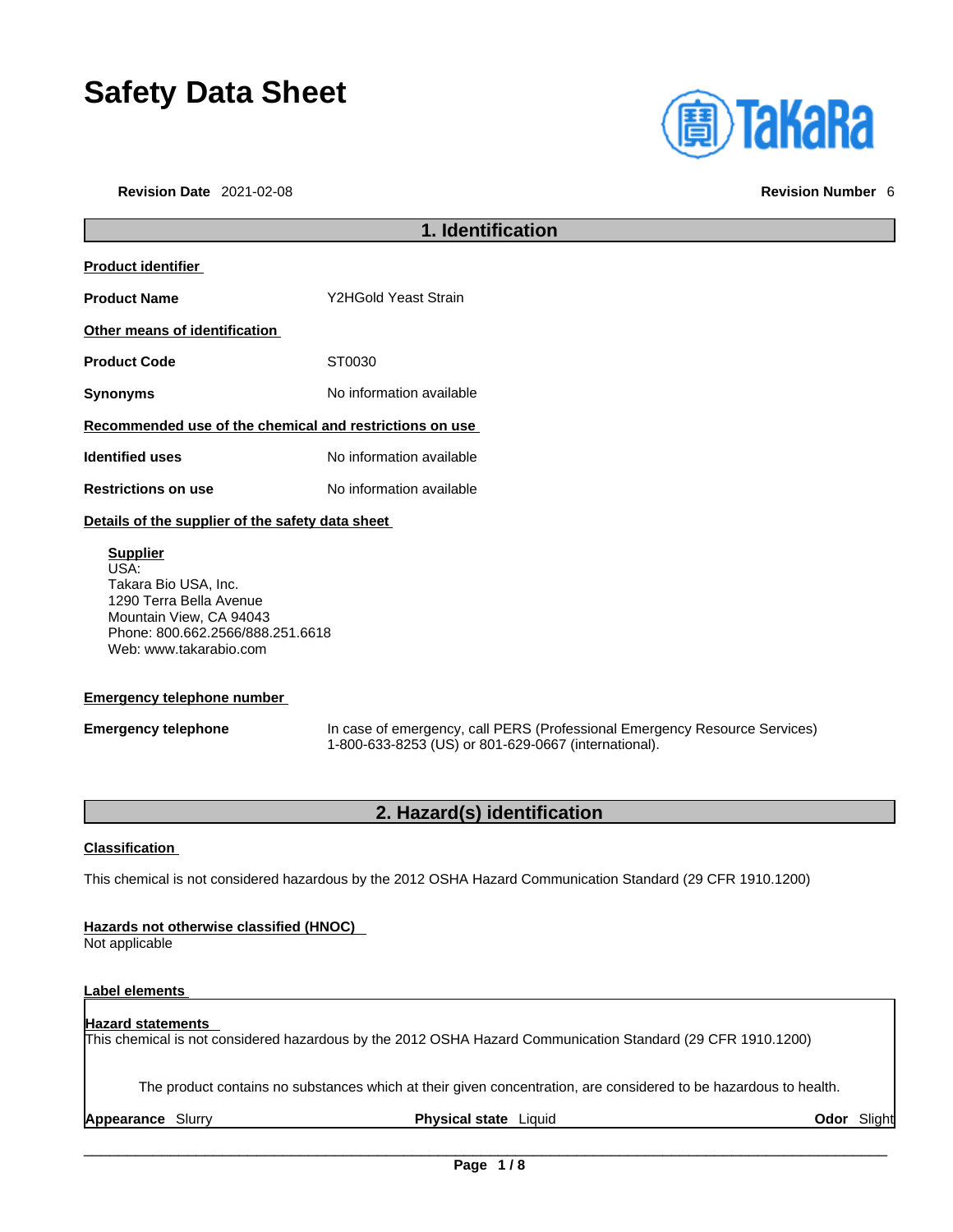# **Safety Data Sheet**

**Revision Date** 2021-02-08 **Revision Number** 6



# **1. Identification Product identifier Product Name** Y2HGold Yeast Strain **Other means of identification Product Code** ST0030 **Synonyms** No information available **Recommended use of the chemical and restrictions on use Identified uses** No information available **Restrictions on use** No information available **Details of the supplier of the safety data sheet**

**Supplier** USA: Takara Bio USA, Inc. 1290 Terra Bella Avenue Mountain View, CA 94043 Phone: 800.662.2566/888.251.6618 Web: www.takarabio.com

### **Emergency telephone number**

**Emergency telephone** In case of emergency, call PERS (Professional Emergency Resource Services) 1-800-633-8253 (US) or 801-629-0667 (international).

# **2. Hazard(s) identification**

#### **Classification**

This chemical is not considered hazardous by the 2012 OSHA Hazard Communication Standard (29 CFR 1910.1200)

#### **Hazards not otherwise classified (HNOC)**

Not applicable

### **Label elements**

#### **Hazard statements**

This chemical is not considered hazardous by the 2012 OSHA Hazard Communication Standard (29 CFR 1910.1200)

The product contains no substances which at their given concentration, are considered to be hazardous to health.

**Appearance** Slurry **Physical state** Liquid **Odor** Slight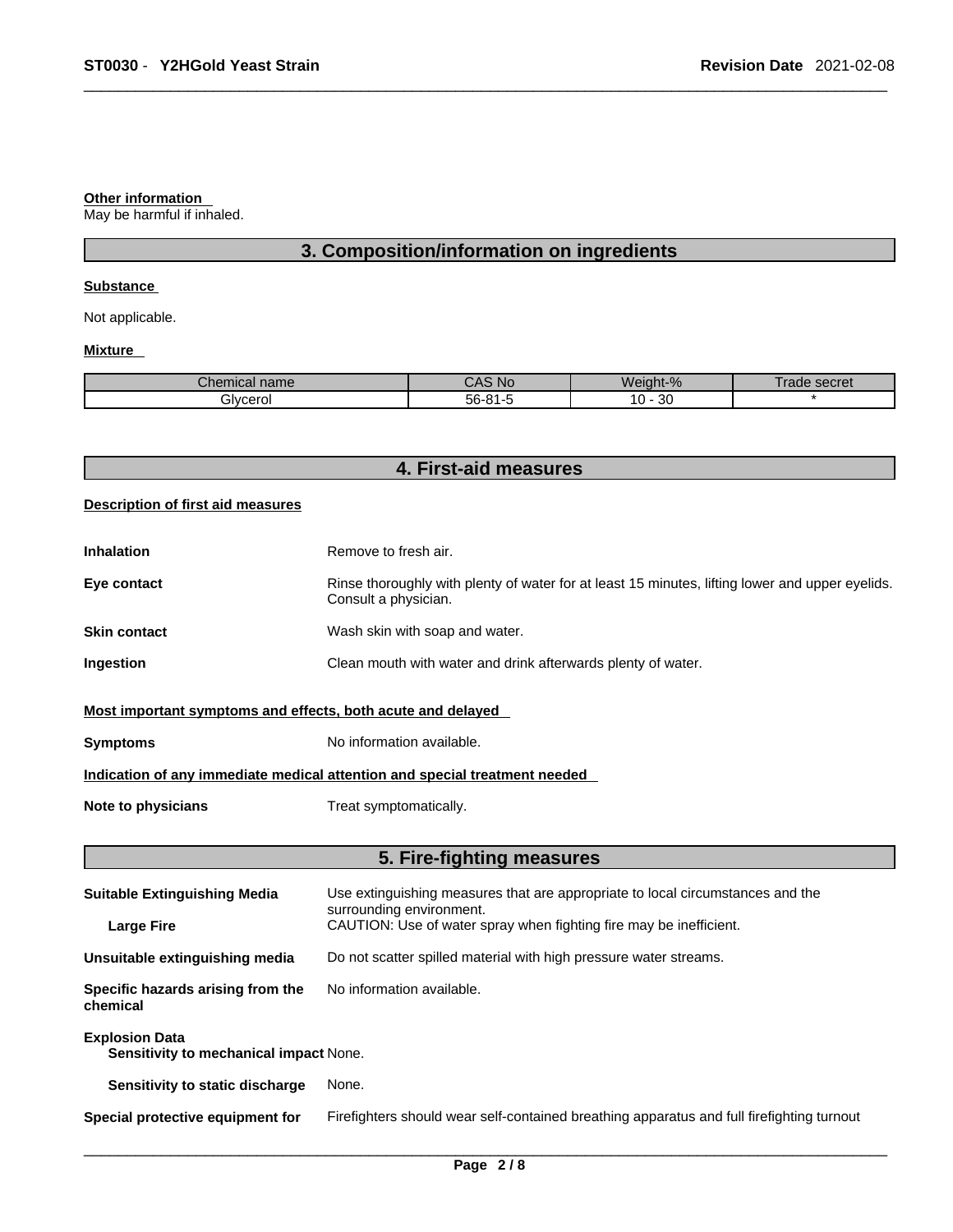#### **Other information**

May be harmful if inhaled.

# **3. Composition/information on ingredients**

#### **Substance**

Not applicable.

#### **Mixture**

| <b>OL</b><br>$\sim$<br>no.<br>nıcaı name<br>, 1151 | <b>NC</b>           | $\Omega$<br>ΛL<br>70 | secret<br>ลดเ |
|----------------------------------------------------|---------------------|----------------------|---------------|
| JVCArC<br>OI                                       | $-\sim$<br>.<br>-רה | n o<br>0<br>υc       |               |

| 4. First-aid measures |  |
|-----------------------|--|
|-----------------------|--|

#### **Description of first aid measures**

| <b>Inhalation</b> | Remove to fresh air.                                                                                                    |
|-------------------|-------------------------------------------------------------------------------------------------------------------------|
| Eye contact       | Rinse thoroughly with plenty of water for at least 15 minutes, lifting lower and upper eyelids.<br>Consult a physician. |
| Skin contact      | Wash skin with soap and water.                                                                                          |
| Ingestion         | Clean mouth with water and drink afterwards plenty of water.                                                            |
|                   |                                                                                                                         |

#### **Most important symptoms and effects, both acute and delayed**

**Symptoms** No information available.

### **Indication of any immediate medical attention and special treatment needed**

**Note to physicians** Treat symptomatically.

## **5. Fire-fighting measures**

| <b>Suitable Extinguishing Media</b>                             | Use extinguishing measures that are appropriate to local circumstances and the<br>surrounding environment. |
|-----------------------------------------------------------------|------------------------------------------------------------------------------------------------------------|
| <b>Large Fire</b>                                               | CAUTION: Use of water spray when fighting fire may be inefficient.                                         |
| Unsuitable extinguishing media                                  | Do not scatter spilled material with high pressure water streams.                                          |
| Specific hazards arising from the<br>chemical                   | No information available.                                                                                  |
| <b>Explosion Data</b><br>Sensitivity to mechanical impact None. |                                                                                                            |
| Sensitivity to static discharge                                 | None.                                                                                                      |
| Special protective equipment for                                | Firefighters should wear self-contained breathing apparatus and full firefighting turnout                  |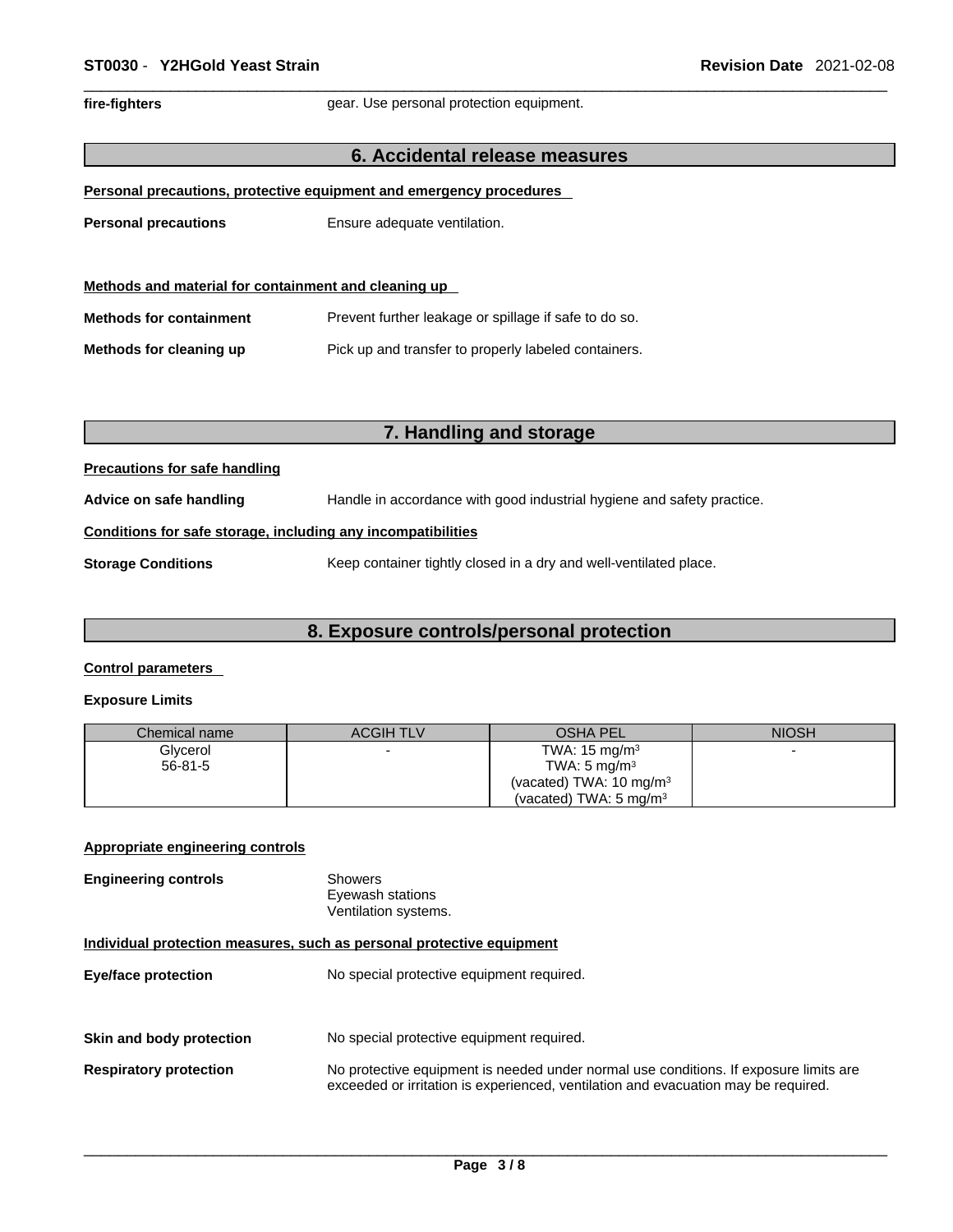fire-fighters **gear.** Use personal protection equipment.

#### **6. Accidental release measures**

|  |  | Personal precautions, protective equipment and emergency procedures |  |  |  |
|--|--|---------------------------------------------------------------------|--|--|--|
|  |  |                                                                     |  |  |  |

**Personal precautions** Ensure adequate ventilation.

| Methods and material for containment and cleaning up |                                                       |  |  |
|------------------------------------------------------|-------------------------------------------------------|--|--|
| <b>Methods for containment</b>                       | Prevent further leakage or spillage if safe to do so. |  |  |
| Methods for cleaning up                              | Pick up and transfer to properly labeled containers.  |  |  |

# **7. Handling and storage**

#### **Precautions for safe handling**

**Advice on safe handling** Handle in accordance with good industrial hygiene and safety practice.

#### **Conditions for safe storage, including any incompatibilities**

**Storage Conditions** Keep container tightly closed in a dry and well-ventilated place.

#### **8. Exposure controls/personal protection**

#### **Control parameters**

#### **Exposure Limits**

| Chemical name | <b>ACGIH TLV</b> | <b>OSHA PEL</b>                    | <b>NIOSH</b> |
|---------------|------------------|------------------------------------|--------------|
| Glycerol      |                  | TWA: $15 \text{ mg/m}^3$           |              |
| $56 - 81 - 5$ |                  | TWA: $5 \text{ mg/m}^3$            |              |
|               |                  | (vacated) TWA: $10 \text{ mg/m}^3$ |              |
|               |                  | (vacated) TWA: $5 \text{ mg/m}^3$  |              |

#### **Appropriate engineering controls**

| Showers              |
|----------------------|
| Eyewash stations     |
| Ventilation systems. |
|                      |

#### **Individual protection measures, such as personal protective equipment**

| <b>Eye/face protection</b>    | No special protective equipment required.                                                                                                                                   |
|-------------------------------|-----------------------------------------------------------------------------------------------------------------------------------------------------------------------------|
| Skin and body protection      | No special protective equipment required.                                                                                                                                   |
| <b>Respiratory protection</b> | No protective equipment is needed under normal use conditions. If exposure limits are<br>exceeded or irritation is experienced, ventilation and evacuation may be required. |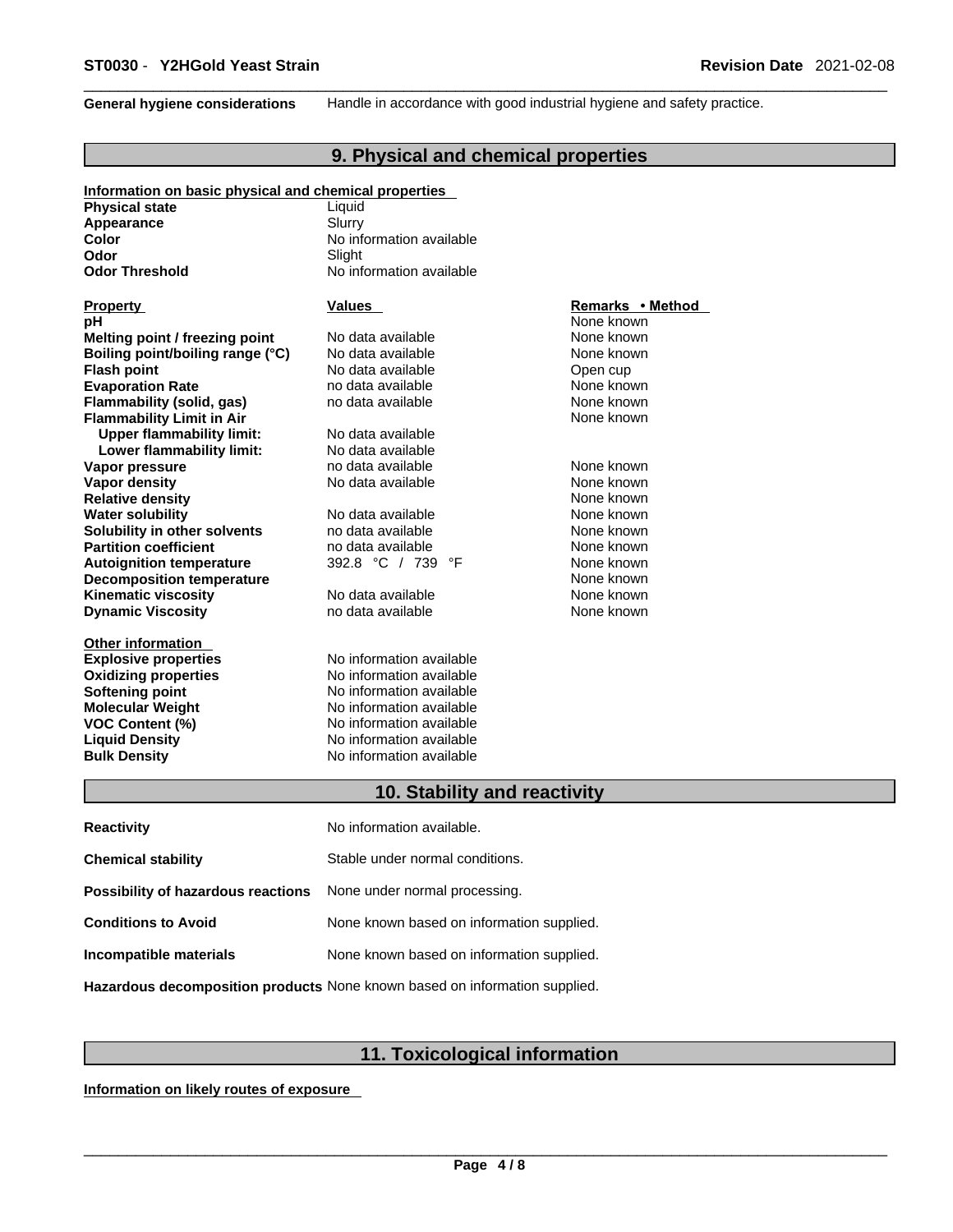**General hygiene considerations** Handle in accordance with good industrial hygiene and safety practice.

## **9. Physical and chemical properties**

| Information on basic physical and chemical properties |                                 |                  |  |
|-------------------------------------------------------|---------------------------------|------------------|--|
| <b>Physical state</b>                                 | Liquid                          |                  |  |
| Appearance                                            | Slurry                          |                  |  |
| Color                                                 | No information available        |                  |  |
| Odor                                                  | Slight                          |                  |  |
| <b>Odor Threshold</b>                                 | No information available        |                  |  |
| <b>Property</b>                                       | Values                          | Remarks • Method |  |
| рH                                                    |                                 | None known       |  |
| Melting point / freezing point                        | No data available               | None known       |  |
| Boiling point/boiling range (°C)                      | No data available               | None known       |  |
| <b>Flash point</b>                                    | No data available               | Open cup         |  |
| <b>Evaporation Rate</b>                               | no data available               | None known       |  |
| Flammability (solid, gas)                             | no data available               | None known       |  |
| <b>Flammability Limit in Air</b>                      |                                 | None known       |  |
| <b>Upper flammability limit:</b>                      | No data available               |                  |  |
| Lower flammability limit:                             | No data available               |                  |  |
| Vapor pressure                                        | no data available               | None known       |  |
| <b>Vapor density</b>                                  | No data available               | None known       |  |
| <b>Relative density</b>                               |                                 | None known       |  |
| <b>Water solubility</b>                               | No data available               | None known       |  |
| Solubility in other solvents                          | no data available               | None known       |  |
| <b>Partition coefficient</b>                          | no data available               | None known       |  |
| <b>Autoignition temperature</b>                       | 392.8 °C / 739<br>°F            | None known       |  |
| <b>Decomposition temperature</b>                      |                                 | None known       |  |
| <b>Kinematic viscosity</b>                            | No data available               | None known       |  |
| <b>Dynamic Viscosity</b>                              | no data available               | None known       |  |
| <b>Other information</b>                              |                                 |                  |  |
| <b>Explosive properties</b>                           | No information available        |                  |  |
| <b>Oxidizing properties</b>                           | No information available        |                  |  |
| Softening point                                       | No information available        |                  |  |
| <b>Molecular Weight</b>                               | No information available        |                  |  |
| <b>VOC Content (%)</b>                                | No information available        |                  |  |
| <b>Liquid Density</b>                                 | No information available        |                  |  |
| <b>Bulk Density</b>                                   | No information available        |                  |  |
|                                                       | 10. Stability and reactivity    |                  |  |
| <b>Reactivity</b>                                     | No information available.       |                  |  |
|                                                       |                                 |                  |  |
| <b>Chemical stability</b>                             | Stable under normal conditions. |                  |  |

| <b>Possibility of hazardous reactions</b> None under normal processing. |                                           |
|-------------------------------------------------------------------------|-------------------------------------------|
| <b>Conditions to Avoid</b>                                              | None known based on information supplied. |
| Incompatible materials                                                  | None known based on information supplied. |

**Hazardous decomposition products** None known based on information supplied.

# **11. Toxicological information**

**Information on likely routes of exposure**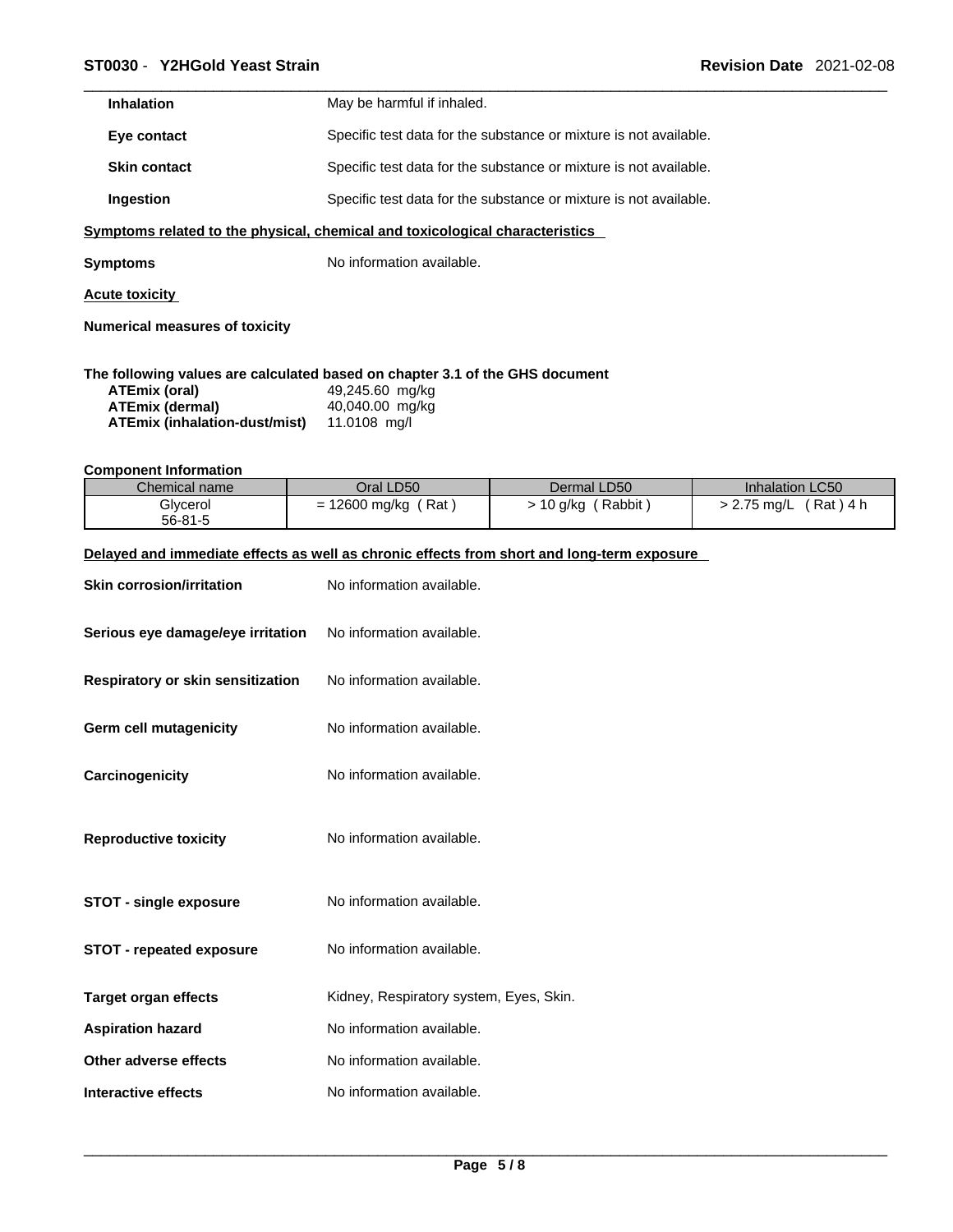| <b>Inhalation</b>   | May be harmful if inhaled.                                        |
|---------------------|-------------------------------------------------------------------|
| Eye contact         | Specific test data for the substance or mixture is not available. |
| <b>Skin contact</b> | Specific test data for the substance or mixture is not available. |
| Ingestion           | Specific test data for the substance or mixture is not available. |
|                     |                                                                   |

**<u>Symptoms related to the physical, chemical and toxicological characteristics</u>** 

**Symptoms** No information available.

**Acute toxicity**

**Numerical measures of toxicity**

#### **The following values are calculated based on chapter 3.1 of the GHS document**

| ATEmix (oral)                 | 49,245.60 mg/kg |
|-------------------------------|-----------------|
| ATEmix (dermal)               | 40,040.00 mg/kg |
| ATEmix (inhalation-dust/mist) | 11.0108 ma/l    |

#### **Component Information**

| Chemical name | Oral LD50          | Dermal LD50       | Inhalation LC50        |
|---------------|--------------------|-------------------|------------------------|
| Glycerol      | Rat<br>12600 mg/kg | Rabbit<br>10 g/kg | Rat ) 4 h<br>2.75 mg/L |
| $56 - 81 - 5$ |                    |                   |                        |

#### **Delayed and immediate effects as well as chronic effects from short and long-term exposure**

| <b>Skin corrosion/irritation</b>  | No information available.               |
|-----------------------------------|-----------------------------------------|
| Serious eye damage/eye irritation | No information available.               |
| Respiratory or skin sensitization | No information available.               |
| Germ cell mutagenicity            | No information available.               |
| Carcinogenicity                   | No information available.               |
| <b>Reproductive toxicity</b>      | No information available.               |
| <b>STOT - single exposure</b>     | No information available.               |
| <b>STOT - repeated exposure</b>   | No information available.               |
| <b>Target organ effects</b>       | Kidney, Respiratory system, Eyes, Skin. |
| <b>Aspiration hazard</b>          | No information available.               |
| Other adverse effects             | No information available.               |
| Interactive effects               | No information available.               |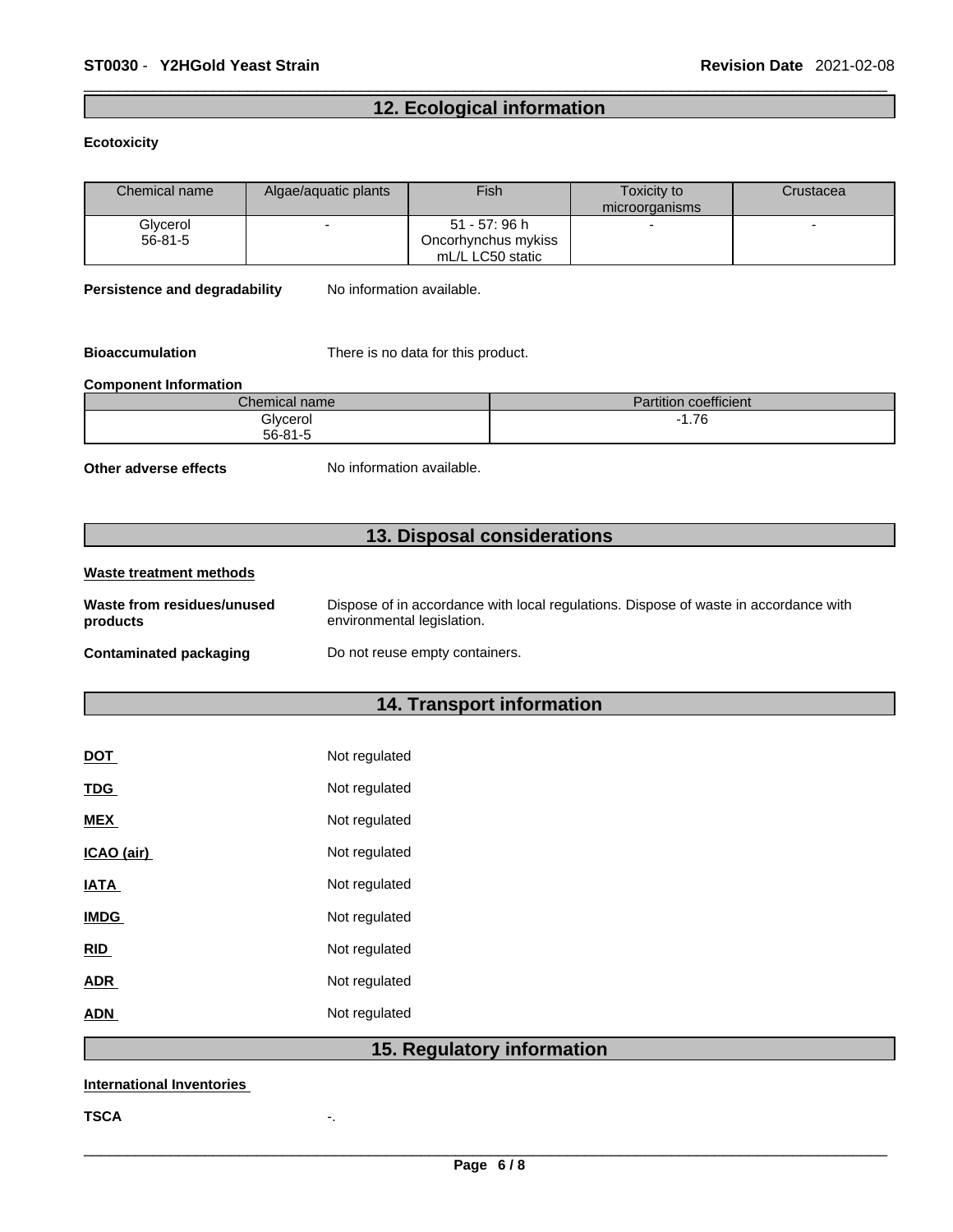# **12. Ecological information**

#### **Ecotoxicity**

| Chemical name             | Algae/aquatic plants | Fish | Toxicity to<br>microorganisms | Crustacea |
|---------------------------|----------------------|------|-------------------------------|-----------|
| Glycerol<br>$56 - 81 - 5$ |                      |      | $\blacksquare$                |           |

**Persistence and degradability** No information available.

**Bioaccumulation** There is no data for this product.

#### **Component Information**

| $\mathcal L$ hemical name $\mathcal L$ | coefficient<br>1.1.1<br><b>Partition</b> |
|----------------------------------------|------------------------------------------|
| Glycerol                               | 7C<br>1. / U                             |
| $56 - 81 - 5$                          |                                          |

**Other adverse effects** No information available.

# **13. Disposal considerations**

| Waste treatment methods                |                                                                                                                    |
|----------------------------------------|--------------------------------------------------------------------------------------------------------------------|
| Waste from residues/unused<br>products | Dispose of in accordance with local regulations. Dispose of waste in accordance with<br>environmental legislation. |
| <b>Contaminated packaging</b>          | Do not reuse empty containers.                                                                                     |

# **14. Transport information**

| <b>DOT</b>  | Not regulated |
|-------------|---------------|
| <b>TDG</b>  | Not regulated |
| <b>MEX</b>  | Not regulated |
| ICAO (air)  | Not regulated |
| IATA        | Not regulated |
| <b>IMDG</b> | Not regulated |
| <b>RID</b>  | Not regulated |
| ADR         | Not regulated |
| ADN         | Not regulated |
|             |               |

# **15. Regulatory information**

#### **International Inventories**

**TSCA** -.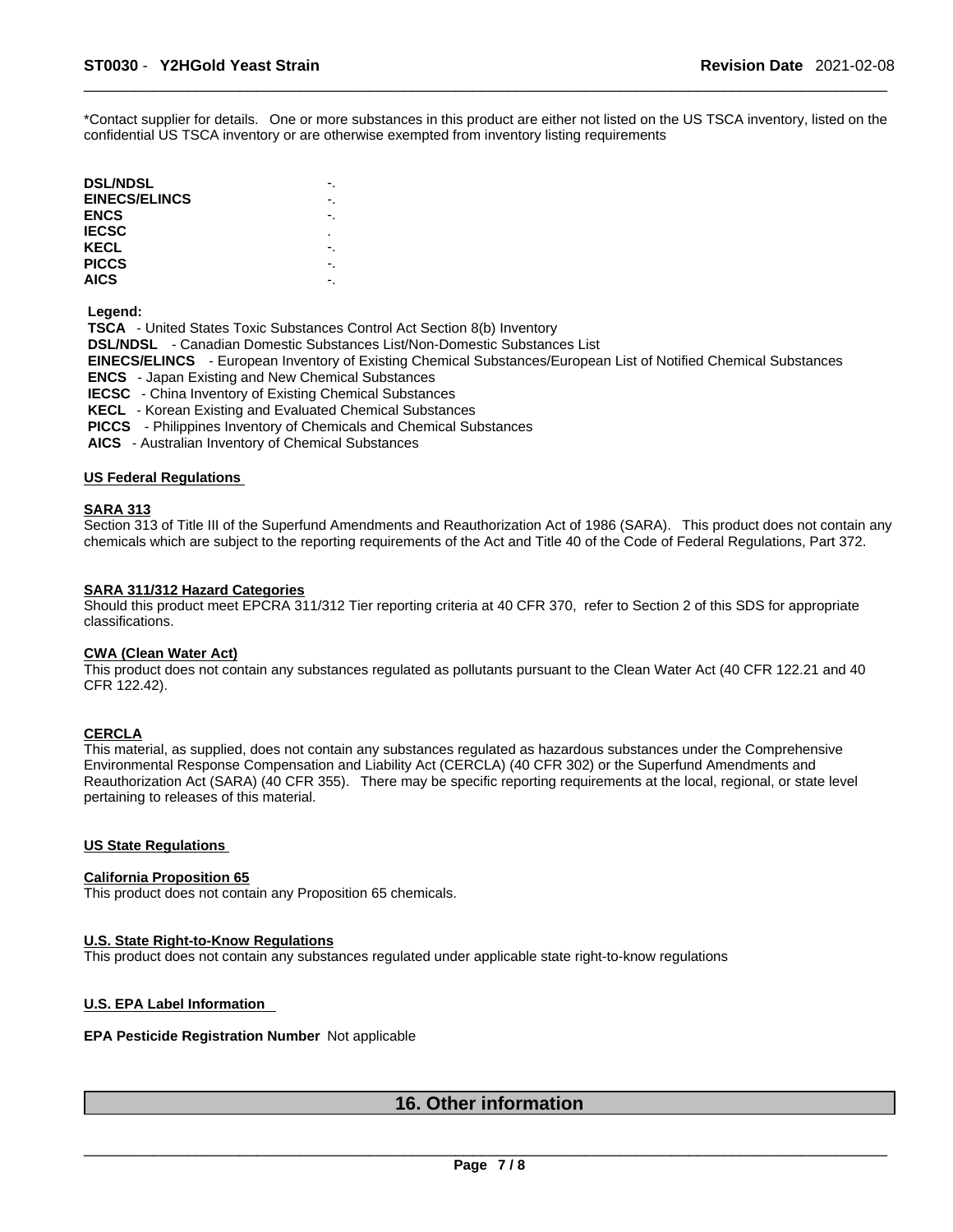\*Contact supplier for details. One or more substances in this product are either not listed on the US TSCA inventory, listed on the confidential US TSCA inventory or are otherwise exempted from inventory listing requirements

| <b>DSL/NDSL</b>      | -. |
|----------------------|----|
| <b>EINECS/ELINCS</b> | ٠. |
| ENCS                 |    |
| IECSC                | ٠  |
| KECL                 |    |
| <b>PICCS</b>         |    |
| <b>AICS</b>          | -. |

 **Legend:** 

 **TSCA** - United States Toxic Substances Control Act Section 8(b) Inventory  **DSL/NDSL** - Canadian Domestic Substances List/Non-Domestic Substances List  **EINECS/ELINCS** - European Inventory of Existing Chemical Substances/European List of Notified Chemical Substances  **ENCS** - Japan Existing and New Chemical Substances  **IECSC** - China Inventory of Existing Chemical Substances  **KECL** - Korean Existing and Evaluated Chemical Substances  **PICCS** - Philippines Inventory of Chemicals and Chemical Substances

 **AICS** - Australian Inventory of Chemical Substances

#### **US Federal Regulations**

#### **SARA 313**

Section 313 of Title III of the Superfund Amendments and Reauthorization Act of 1986 (SARA). This product does not contain any chemicals which are subject to the reporting requirements of the Act and Title 40 of the Code of Federal Regulations, Part 372.

#### **SARA 311/312 Hazard Categories**

Should this product meet EPCRA 311/312 Tier reporting criteria at 40 CFR 370, refer to Section 2 of this SDS for appropriate classifications.

#### **CWA (Clean WaterAct)**

This product does not contain any substances regulated as pollutants pursuant to the Clean Water Act (40 CFR 122.21 and 40 CFR 122.42).

#### **CERCLA**

This material, as supplied, does not contain any substances regulated as hazardous substances under the Comprehensive Environmental Response Compensation and Liability Act (CERCLA) (40 CFR 302) or the Superfund Amendments and Reauthorization Act (SARA) (40 CFR 355). There may be specific reporting requirements at the local, regional, or state level pertaining to releases of this material.

#### **US State Regulations**

#### **California Proposition 65**

This product does not contain any Proposition 65 chemicals.

#### **U.S. State Right-to-Know Regulations**

This product does not contain any substances regulated under applicable state right-to-know regulations

### **U.S. EPA Label Information**

### **EPA Pesticide Registration Number** Not applicable

# **16. Other information**